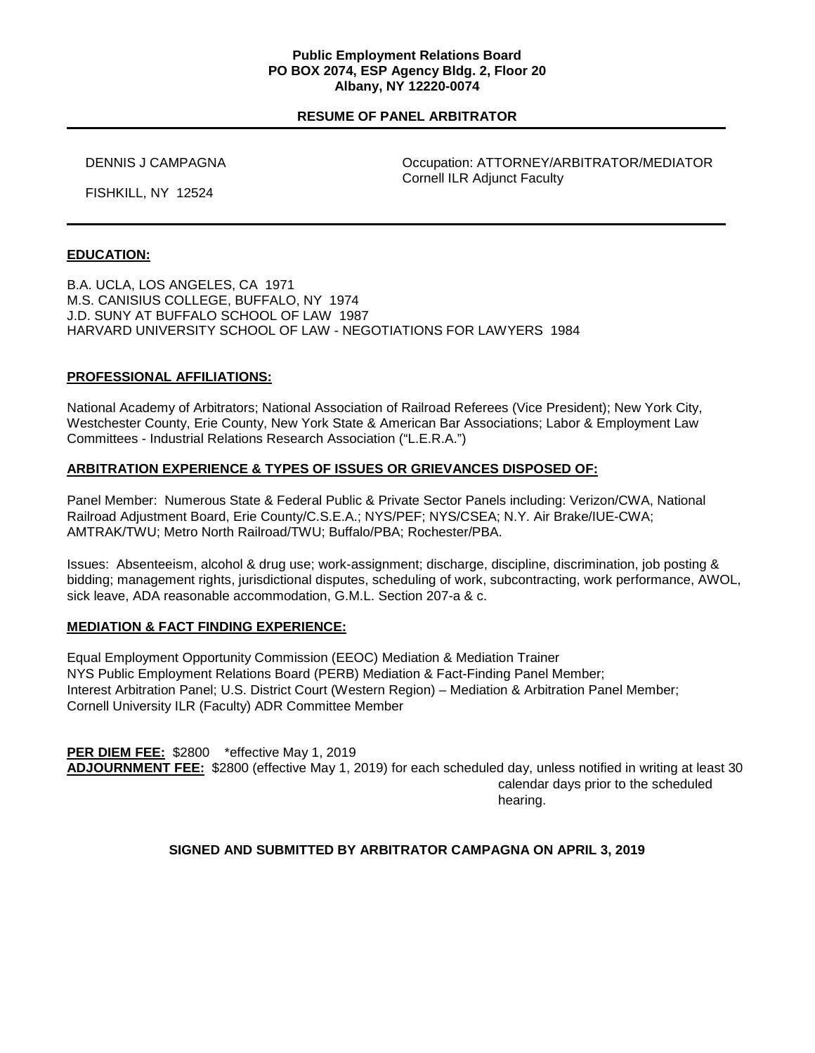#### **Public Employment Relations Board PO BOX 2074, ESP Agency Bldg. 2, Floor 20 Albany, NY 12220-0074**

## **RESUME OF PANEL ARBITRATOR**

 DENNIS J CAMPAGNA Occupation: ATTORNEY/ARBITRATOR/MEDIATOR Cornell ILR Adjunct Faculty

FISHKILL, NY 12524

## **EDUCATION:**

B.A. UCLA, LOS ANGELES, CA 1971 M.S. CANISIUS COLLEGE, BUFFALO, NY 1974 J.D. SUNY AT BUFFALO SCHOOL OF LAW 1987 HARVARD UNIVERSITY SCHOOL OF LAW - NEGOTIATIONS FOR LAWYERS 1984

## **PROFESSIONAL AFFILIATIONS:**

National Academy of Arbitrators; National Association of Railroad Referees (Vice President); New York City, Westchester County, Erie County, New York State & American Bar Associations; Labor & Employment Law Committees - Industrial Relations Research Association ("L.E.R.A.")

### **ARBITRATION EXPERIENCE & TYPES OF ISSUES OR GRIEVANCES DISPOSED OF:**

Panel Member: Numerous State & Federal Public & Private Sector Panels including: Verizon/CWA, National Railroad Adjustment Board, Erie County/C.S.E.A.; NYS/PEF; NYS/CSEA; N.Y. Air Brake/IUE-CWA; AMTRAK/TWU; Metro North Railroad/TWU; Buffalo/PBA; Rochester/PBA.

Issues: Absenteeism, alcohol & drug use; work-assignment; discharge, discipline, discrimination, job posting & bidding; management rights, jurisdictional disputes, scheduling of work, subcontracting, work performance, AWOL, sick leave, ADA reasonable accommodation, G.M.L. Section 207-a & c.

### **MEDIATION & FACT FINDING EXPERIENCE:**

Equal Employment Opportunity Commission (EEOC) Mediation & Mediation Trainer NYS Public Employment Relations Board (PERB) Mediation & Fact-Finding Panel Member; Interest Arbitration Panel; U.S. District Court (Western Region) – Mediation & Arbitration Panel Member; Cornell University ILR (Faculty) ADR Committee Member

**PER DIEM FEE:** \$2800 \*effective May 1, 2019 **ADJOURNMENT FEE:** \$2800 (effective May 1, 2019) for each scheduled day, unless notified in writing at least 30 calendar days prior to the scheduled hearing.

# **SIGNED AND SUBMITTED BY ARBITRATOR CAMPAGNA ON APRIL 3, 2019**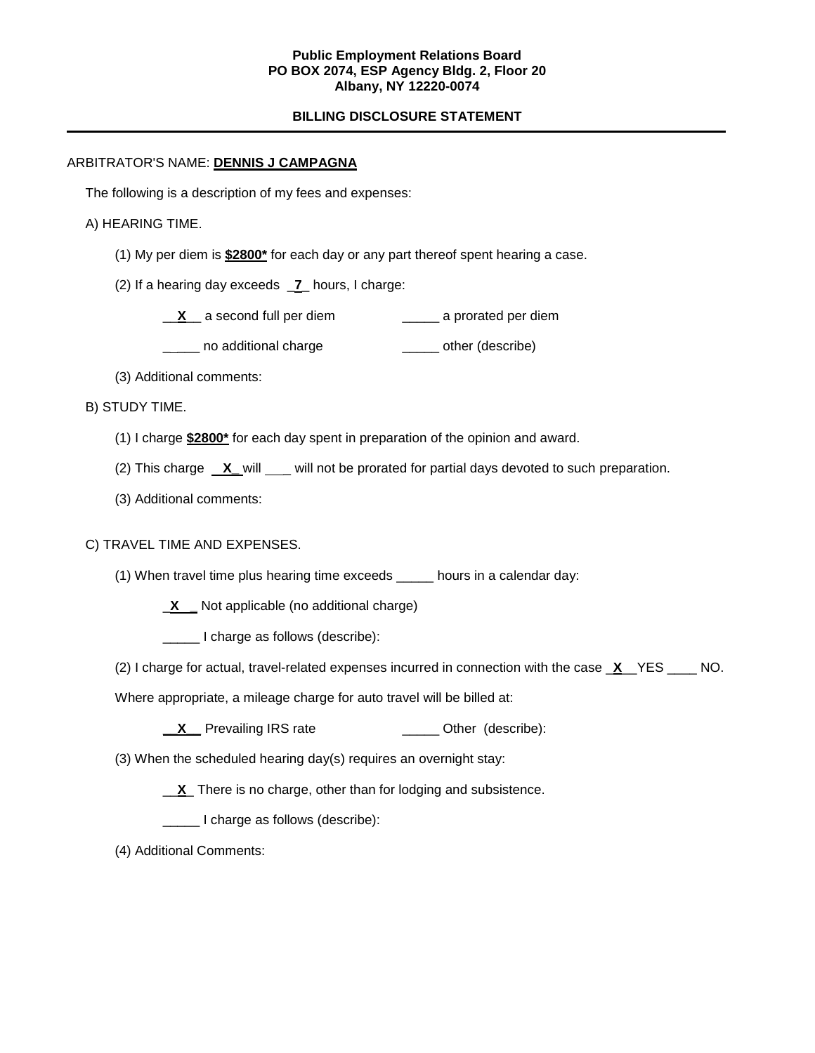### **Public Employment Relations Board PO BOX 2074, ESP Agency Bldg. 2, Floor 20 Albany, NY 12220-0074**

# **BILLING DISCLOSURE STATEMENT**

## ARBITRATOR'S NAME: **DENNIS J CAMPAGNA**

The following is a description of my fees and expenses:

#### A) HEARING TIME.

- (1) My per diem is **\$2800\*** for each day or any part thereof spent hearing a case.
- (2) If a hearing day exceeds \_**7**\_ hours, I charge:
	- \_\_**X**\_\_ a second full per diem \_\_\_\_\_ a prorated per diem
	- **\_\_\_\_** no additional charge **\_\_\_\_\_** other (describe)
- (3) Additional comments:
- B) STUDY TIME.
	- (1) I charge **\$2800\*** for each day spent in preparation of the opinion and award.
	- (2) This charge  $X$  will \_ will not be prorated for partial days devoted to such preparation.
	- (3) Additional comments:

### C) TRAVEL TIME AND EXPENSES.

- (1) When travel time plus hearing time exceeds \_\_\_\_\_ hours in a calendar day:
	- \_**X \_** Not applicable (no additional charge)
	- \_\_\_\_\_ I charge as follows (describe):
- (2) I charge for actual, travel-related expenses incurred in connection with the case \_**X**\_\_YES \_\_\_\_ NO.
- Where appropriate, a mileage charge for auto travel will be billed at:
	- **\_X** Prevailing IRS rate \_\_\_\_\_\_\_\_\_\_\_\_\_\_\_ Other (describe):
- (3) When the scheduled hearing day(s) requires an overnight stay:
	- \_\_**X**\_ There is no charge, other than for lodging and subsistence.
	- \_\_\_\_\_ I charge as follows (describe):
- (4) Additional Comments: